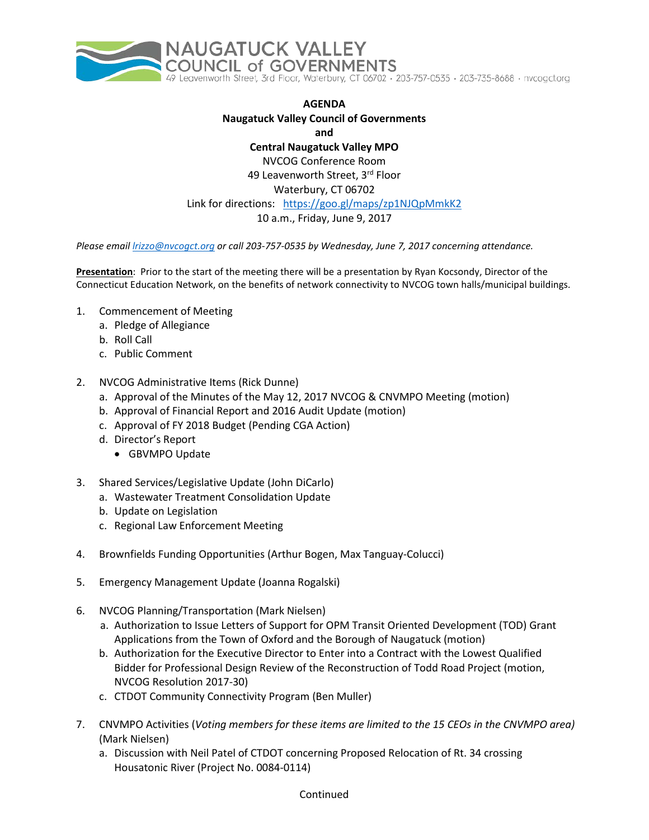

## **AGENDA Naugatuck Valley Council of Governments and Central Naugatuck Valley MPO** NVCOG Conference Room 49 Leavenworth Street, 3rd Floor Waterbury, CT 06702

## Link for directions: <https://goo.gl/maps/zp1NJQpMmkK2>

10 a.m., Friday, June 9, 2017

*Please email [lrizzo@nvcogct.org](mailto:lrizzo@nvcogct.org) or call 203-757-0535 by Wednesday, June 7, 2017 concerning attendance.*

**Presentation**: Prior to the start of the meeting there will be a presentation by Ryan Kocsondy, Director of the Connecticut Education Network, on the benefits of network connectivity to NVCOG town halls/municipal buildings.

- 1. Commencement of Meeting
	- a. Pledge of Allegiance
	- b. Roll Call
	- c. Public Comment
- 2. NVCOG Administrative Items (Rick Dunne)
	- a. Approval of the Minutes of the May 12, 2017 NVCOG & CNVMPO Meeting (motion)
	- b. Approval of Financial Report and 2016 Audit Update (motion)
	- c. Approval of FY 2018 Budget (Pending CGA Action)
	- d. Director's Report
		- GBVMPO Update
- 3. Shared Services/Legislative Update (John DiCarlo)
	- a. Wastewater Treatment Consolidation Update
	- b. Update on Legislation
	- c. Regional Law Enforcement Meeting
- 4. Brownfields Funding Opportunities (Arthur Bogen, Max Tanguay-Colucci)
- 5. Emergency Management Update (Joanna Rogalski)
- 6. NVCOG Planning/Transportation (Mark Nielsen)
	- a. Authorization to Issue Letters of Support for OPM Transit Oriented Development (TOD) Grant Applications from the Town of Oxford and the Borough of Naugatuck (motion)
	- b. Authorization for the Executive Director to Enter into a Contract with the Lowest Qualified Bidder for Professional Design Review of the Reconstruction of Todd Road Project (motion, NVCOG Resolution 2017-30)
	- c. CTDOT Community Connectivity Program (Ben Muller)
- 7. CNVMPO Activities (*Voting members for these items are limited to the 15 CEOs in the CNVMPO area)* (Mark Nielsen)
	- a. Discussion with Neil Patel of CTDOT concerning Proposed Relocation of Rt. 34 crossing Housatonic River (Project No. 0084-0114)

## Continued